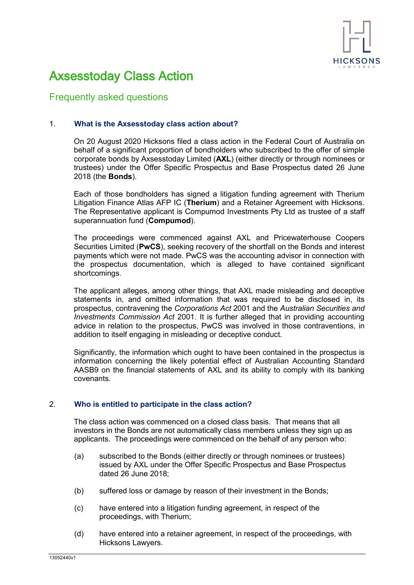

# Axsesstoday Class Action

# Frequently asked questions

# 1. **What is the Axsesstoday class action about?**

On 20 August 2020 Hicksons filed a class action in the Federal Court of Australia on behalf of a significant proportion of bondholders who subscribed to the offer of simple corporate bonds by Axsesstoday Limited (**AXL**) (either directly or through nominees or trustees) under the Offer Specific Prospectus and Base Prospectus dated 26 June 2018 (the **Bonds**).

Each of those bondholders has signed a litigation funding agreement with Therium Litigation Finance Atlas AFP IC (**Therium**) and a Retainer Agreement with Hicksons. The Representative applicant is Compumod Investments Pty Ltd as trustee of a staff superannuation fund (**Compumod**).

The proceedings were commenced against AXL and Pricewaterhouse Coopers Securities Limited (**PwCS**), seeking recovery of the shortfall on the Bonds and interest payments which were not made. PwCS was the accounting advisor in connection with the prospectus documentation, which is alleged to have contained significant shortcomings.

The applicant alleges, among other things, that AXL made misleading and deceptive statements in, and omitted information that was required to be disclosed in, its prospectus, contravening the *Corporations Act* 2001 and the *Australian Securities and Investments Commission Act* 2001. It is further alleged that in providing accounting advice in relation to the prospectus, PwCS was involved in those contraventions, in addition to itself engaging in misleading or deceptive conduct.

Significantly, the information which ought to have been contained in the prospectus is information concerning the likely potential effect of Australian Accounting Standard AASB9 on the financial statements of AXL and its ability to comply with its banking covenants.

# 2. **Who is entitled to participate in the class action?**

The class action was commenced on a closed class basis. That means that all investors in the Bonds are not automatically class members unless they sign up as applicants. The proceedings were commenced on the behalf of any person who:

- (a) subscribed to the Bonds (either directly or through nominees or trustees) issued by AXL under the Offer Specific Prospectus and Base Prospectus dated 26 June 2018;
- (b) suffered loss or damage by reason of their investment in the Bonds;
- (c) have entered into a litigation funding agreement, in respect of the proceedings, with Therium;
- (d) have entered into a retainer agreement, in respect of the proceedings, with Hicksons Lawyers.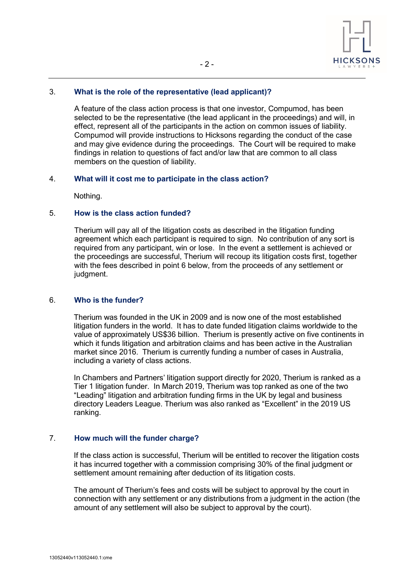

# 3. **What is the role of the representative (lead applicant)?**

A feature of the class action process is that one investor, Compumod, has been selected to be the representative (the lead applicant in the proceedings) and will, in effect, represent all of the participants in the action on common issues of liability. Compumod will provide instructions to Hicksons regarding the conduct of the case and may give evidence during the proceedings. The Court will be required to make findings in relation to questions of fact and/or law that are common to all class members on the question of liability.

#### 4. **What will it cost me to participate in the class action?**

Nothing.

#### 5. **How is the class action funded?**

Therium will pay all of the litigation costs as described in the litigation funding agreement which each participant is required to sign. No contribution of any sort is required from any participant, win or lose. In the event a settlement is achieved or the proceedings are successful, Therium will recoup its litigation costs first, together with the fees described in point 6 below, from the proceeds of any settlement or judgment.

#### 6. **Who is the funder?**

Therium was founded in the UK in 2009 and is now one of the most established litigation funders in the world. It has to date funded litigation claims worldwide to the value of approximately US\$36 billion. Therium is presently active on five continents in which it funds litigation and arbitration claims and has been active in the Australian market since 2016. Therium is currently funding a number of cases in Australia, including a variety of class actions.

In Chambers and Partners' litigation support directly for 2020, Therium is ranked as a Tier 1 litigation funder. In March 2019, Therium was top ranked as one of the two "Leading" litigation and arbitration funding firms in the UK by legal and business directory Leaders League. Therium was also ranked as "Excellent" in the 2019 US ranking.

# 7. **How much will the funder charge?**

If the class action is successful, Therium will be entitled to recover the litigation costs it has incurred together with a commission comprising 30% of the final judgment or settlement amount remaining after deduction of its litigation costs.

The amount of Therium's fees and costs will be subject to approval by the court in connection with any settlement or any distributions from a judgment in the action (the amount of any settlement will also be subject to approval by the court).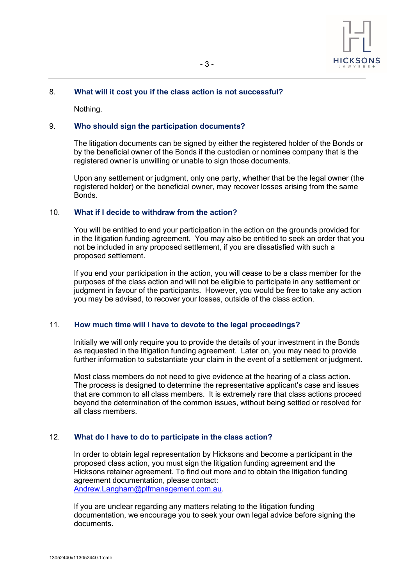

# 8. **What will it cost you if the class action is not successful?**

Nothing.

#### 9. **Who should sign the participation documents?**

The litigation documents can be signed by either the registered holder of the Bonds or by the beneficial owner of the Bonds if the custodian or nominee company that is the registered owner is unwilling or unable to sign those documents.

Upon any settlement or judgment, only one party, whether that be the legal owner (the registered holder) or the beneficial owner, may recover losses arising from the same **Bonds** 

#### 10. **What if I decide to withdraw from the action?**

You will be entitled to end your participation in the action on the grounds provided for in the litigation funding agreement. You may also be entitled to seek an order that you not be included in any proposed settlement, if you are dissatisfied with such a proposed settlement.

If you end your participation in the action, you will cease to be a class member for the purposes of the class action and will not be eligible to participate in any settlement or judgment in favour of the participants. However, you would be free to take any action you may be advised, to recover your losses, outside of the class action.

#### 11. **How much time will I have to devote to the legal proceedings?**

Initially we will only require you to provide the details of your investment in the Bonds as requested in the litigation funding agreement. Later on, you may need to provide further information to substantiate your claim in the event of a settlement or judgment.

Most class members do not need to give evidence at the hearing of a class action. The process is designed to determine the representative applicant's case and issues that are common to all class members. It is extremely rare that class actions proceed beyond the determination of the common issues, without being settled or resolved for all class members.

#### 12. **What do I have to do to participate in the class action?**

In order to obtain legal representation by Hicksons and become a participant in the proposed class action, you must sign the litigation funding agreement and the Hicksons retainer agreement. To find out more and to obtain the litigation funding agreement documentation, please contact: [Andrew.Langham@plfmanagement.com.au](mailto:Andrew.Langham@plfmanagement.com.au).

If you are unclear regarding any matters relating to the litigation funding documentation, we encourage you to seek your own legal advice before signing the documents.